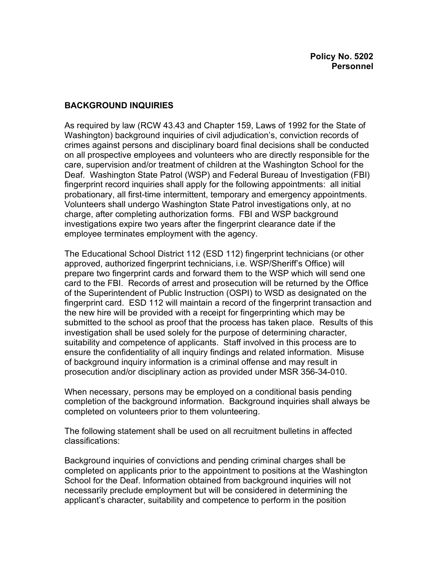## **BACKGROUND INQUIRIES**

As required by law (RCW 43.43 and Chapter 159, Laws of 1992 for the State of Washington) background inquiries of civil adjudication's, conviction records of crimes against persons and disciplinary board final decisions shall be conducted on all prospective employees and volunteers who are directly responsible for the care, supervision and/or treatment of children at the Washington School for the Deaf. Washington State Patrol (WSP) and Federal Bureau of Investigation (FBI) fingerprint record inquiries shall apply for the following appointments: all initial probationary, all first-time intermittent, temporary and emergency appointments. Volunteers shall undergo Washington State Patrol investigations only, at no charge, after completing authorization forms. FBI and WSP background investigations expire two years after the fingerprint clearance date if the employee terminates employment with the agency.

The Educational School District 112 (ESD 112) fingerprint technicians (or other approved, authorized fingerprint technicians, i.e. WSP/Sheriff's Office) will prepare two fingerprint cards and forward them to the WSP which will send one card to the FBI. Records of arrest and prosecution will be returned by the Office of the Superintendent of Public Instruction (OSPI) to WSD as designated on the fingerprint card. ESD 112 will maintain a record of the fingerprint transaction and the new hire will be provided with a receipt for fingerprinting which may be submitted to the school as proof that the process has taken place. Results of this investigation shall be used solely for the purpose of determining character, suitability and competence of applicants. Staff involved in this process are to ensure the confidentiality of all inquiry findings and related information. Misuse of background inquiry information is a criminal offense and may result in prosecution and/or disciplinary action as provided under MSR 356-34-010.

When necessary, persons may be employed on a conditional basis pending completion of the background information. Background inquiries shall always be completed on volunteers prior to them volunteering.

The following statement shall be used on all recruitment bulletins in affected classifications:

Background inquiries of convictions and pending criminal charges shall be completed on applicants prior to the appointment to positions at the Washington School for the Deaf. Information obtained from background inquiries will not necessarily preclude employment but will be considered in determining the applicant's character, suitability and competence to perform in the position